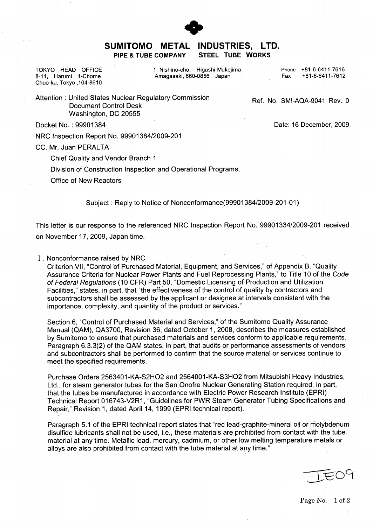

## **SUMITOMO** METAL **INDUSTRIES,** LTD. PIPE **& TUBE** COMPANY **STEEL TUBE** WORKS

Chuo-ku, Tokyo 104-8610

TOKYO HEAD OFFICE 1, Nishino-cho, Higashi-Mukojima Phone +81-6-6411-7616<br>8-11, Harumi 1-Chome Amagasaki, 660-0856 Japan Amagasaki, 660-0856 Japan

Attention : United States Nuclear Regulatory Commission Ref. No. SMI-AQA-9041 Rev. 0 Document Control Desk Washington, DC 20555

Docket No. : 99901384 Date: 16 December, 2009

NRC Inspection Report No. 99901384/2009-201

CC. Mr. Juan PERALTA

Chief Quality and Vendor Branch **1**

Division of Construction Inspection and Operational Programs,

Office of New Reactors

Subject : Reply to Notice of Nonconformance(99901 384/2009-201-01)

This letter is our response to the referenced NRC Inspection Report No. 99901334/2009-201 received on November 17, 2009, Japan time.

I . Nonconformance raised by NRC

Criterion VII, "Control of Purchased Material, Equipment, and Services," of Appendix B, "Quality Assurance Criteria for Nuclear Power Plants and Fuel Reprocessing Plants," to Title 10 of the Code *of Federal Regulations* (10 CFR) Part 50, "Domestic Licensing of Production and Utilization Facilities," states, in part, that "the effectiveness of the control of quality by contractors and subcontractors shall be assessed by the applicant or designee at intervals consistent with the importance, complexity, and quantity of the product or services."

Section 6, "Control of Purchased Material and Services," of the Sumitomo Quality Assurance Manual (QAM), QA3700, Revision 36, dated October 1, 2008, describes the measures established by Sumitomo to ensure that purchased materials and services conform to applicable requirements. Paragraph 6.3.3(2) of the QAM states, in part, that audits or performance assessments of vendors and subcontractors shall be performed to confirm that the source material or services continue to meet the specified requirements.

Purchase Orders 2563401-KA-S2HO2 and 2564001-KA-S3HO2 from Mitsubishi Heavy Industries, Ltd., for steam generator tubes for the San Onofre Nuclear Generating Station required, in part, that the tubes be manufactured in accordance with Electric Power Research Institute (EPRI) Technical Report 016743-V2R1, "Guidelines for PWR Steam Generator Tubing Specifications and Repair," Revision 1, dated April 14, 1999 (EPRI technical report).

Paragraph 5.1 of the EPRI technical report states that "red lead-graphite-mineral oil or molybdenum disulfide lubricants shall not be used, i.e., these materials are prohibited from contact with the tube material at any time. Metallic lead, mercury, cadmium, or other low melting temperature metals or alloys are also prohibited from contact with the tube material at any time."